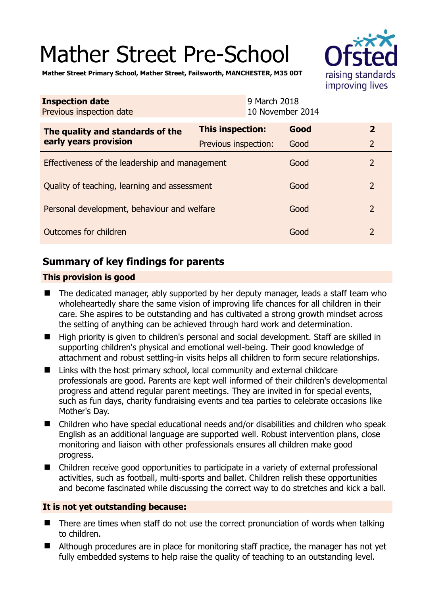# Mather Street Pre-School



**Mather Street Primary School, Mather Street, Failsworth, MANCHESTER, M35 0DT** 

| <b>Inspection date</b><br>Previous inspection date        | 9 March 2018<br>10 November 2014 |      |                |
|-----------------------------------------------------------|----------------------------------|------|----------------|
| The quality and standards of the<br>early years provision | This inspection:                 | Good | $\mathbf{2}$   |
|                                                           | Previous inspection:             | Good | $\overline{2}$ |
| Effectiveness of the leadership and management            |                                  | Good | $\overline{2}$ |
| Quality of teaching, learning and assessment              |                                  | Good | $\overline{2}$ |
| Personal development, behaviour and welfare               |                                  | Good | $\overline{2}$ |
| Outcomes for children                                     |                                  | Good | $\overline{2}$ |

# **Summary of key findings for parents**

## **This provision is good**

- The dedicated manager, ably supported by her deputy manager, leads a staff team who wholeheartedly share the same vision of improving life chances for all children in their care. She aspires to be outstanding and has cultivated a strong growth mindset across the setting of anything can be achieved through hard work and determination.
- High priority is given to children's personal and social development. Staff are skilled in supporting children's physical and emotional well-being. Their good knowledge of attachment and robust settling-in visits helps all children to form secure relationships.
- Links with the host primary school, local community and external childcare professionals are good. Parents are kept well informed of their children's developmental progress and attend regular parent meetings. They are invited in for special events, such as fun days, charity fundraising events and tea parties to celebrate occasions like Mother's Day.
- Children who have special educational needs and/or disabilities and children who speak English as an additional language are supported well. Robust intervention plans, close monitoring and liaison with other professionals ensures all children make good progress.
- Children receive good opportunities to participate in a variety of external professional activities, such as football, multi-sports and ballet. Children relish these opportunities and become fascinated while discussing the correct way to do stretches and kick a ball.

## **It is not yet outstanding because:**

- There are times when staff do not use the correct pronunciation of words when talking to children.
- Although procedures are in place for monitoring staff practice, the manager has not yet fully embedded systems to help raise the quality of teaching to an outstanding level.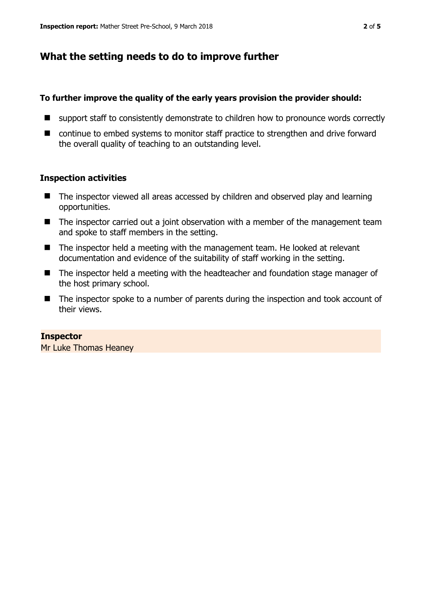# **What the setting needs to do to improve further**

#### **To further improve the quality of the early years provision the provider should:**

- support staff to consistently demonstrate to children how to pronounce words correctly
- continue to embed systems to monitor staff practice to strengthen and drive forward the overall quality of teaching to an outstanding level.

## **Inspection activities**

- The inspector viewed all areas accessed by children and observed play and learning opportunities.
- The inspector carried out a joint observation with a member of the management team and spoke to staff members in the setting.
- The inspector held a meeting with the management team. He looked at relevant documentation and evidence of the suitability of staff working in the setting.
- The inspector held a meeting with the headteacher and foundation stage manager of the host primary school.
- The inspector spoke to a number of parents during the inspection and took account of their views.

#### **Inspector**

Mr Luke Thomas Heaney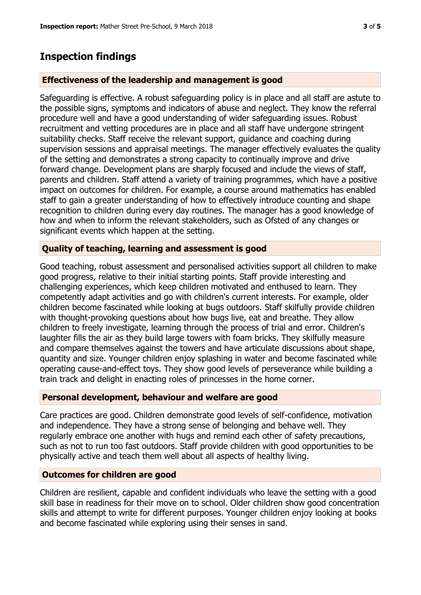# **Inspection findings**

## **Effectiveness of the leadership and management is good**

Safeguarding is effective. A robust safeguarding policy is in place and all staff are astute to the possible signs, symptoms and indicators of abuse and neglect. They know the referral procedure well and have a good understanding of wider safeguarding issues. Robust recruitment and vetting procedures are in place and all staff have undergone stringent suitability checks. Staff receive the relevant support, guidance and coaching during supervision sessions and appraisal meetings. The manager effectively evaluates the quality of the setting and demonstrates a strong capacity to continually improve and drive forward change. Development plans are sharply focused and include the views of staff, parents and children. Staff attend a variety of training programmes, which have a positive impact on outcomes for children. For example, a course around mathematics has enabled staff to gain a greater understanding of how to effectively introduce counting and shape recognition to children during every day routines. The manager has a good knowledge of how and when to inform the relevant stakeholders, such as Ofsted of any changes or significant events which happen at the setting.

## **Quality of teaching, learning and assessment is good**

Good teaching, robust assessment and personalised activities support all children to make good progress, relative to their initial starting points. Staff provide interesting and challenging experiences, which keep children motivated and enthused to learn. They competently adapt activities and go with children's current interests. For example, older children become fascinated while looking at bugs outdoors. Staff skilfully provide children with thought-provoking questions about how bugs live, eat and breathe. They allow children to freely investigate, learning through the process of trial and error. Children's laughter fills the air as they build large towers with foam bricks. They skilfully measure and compare themselves against the towers and have articulate discussions about shape, quantity and size. Younger children enjoy splashing in water and become fascinated while operating cause-and-effect toys. They show good levels of perseverance while building a train track and delight in enacting roles of princesses in the home corner.

#### **Personal development, behaviour and welfare are good**

Care practices are good. Children demonstrate good levels of self-confidence, motivation and independence. They have a strong sense of belonging and behave well. They regularly embrace one another with hugs and remind each other of safety precautions, such as not to run too fast outdoors. Staff provide children with good opportunities to be physically active and teach them well about all aspects of healthy living.

#### **Outcomes for children are good**

Children are resilient, capable and confident individuals who leave the setting with a good skill base in readiness for their move on to school. Older children show good concentration skills and attempt to write for different purposes. Younger children enjoy looking at books and become fascinated while exploring using their senses in sand.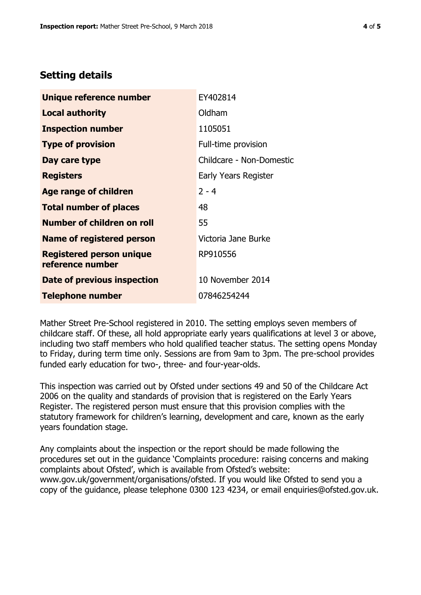# **Setting details**

| Unique reference number                             | EY402814                 |
|-----------------------------------------------------|--------------------------|
| Local authority                                     | Oldham                   |
| <b>Inspection number</b>                            | 1105051                  |
| <b>Type of provision</b>                            | Full-time provision      |
| Day care type                                       | Childcare - Non-Domestic |
| <b>Registers</b>                                    | Early Years Register     |
| <b>Age range of children</b>                        | $2 - 4$                  |
| <b>Total number of places</b>                       | 48                       |
| <b>Number of children on roll</b>                   | 55                       |
| Name of registered person                           | Victoria Jane Burke      |
| <b>Registered person unique</b><br>reference number | RP910556                 |
| Date of previous inspection                         | 10 November 2014         |
| <b>Telephone number</b>                             | 07846254244              |

Mather Street Pre-School registered in 2010. The setting employs seven members of childcare staff. Of these, all hold appropriate early years qualifications at level 3 or above, including two staff members who hold qualified teacher status. The setting opens Monday to Friday, during term time only. Sessions are from 9am to 3pm. The pre-school provides funded early education for two-, three- and four-year-olds.

This inspection was carried out by Ofsted under sections 49 and 50 of the Childcare Act 2006 on the quality and standards of provision that is registered on the Early Years Register. The registered person must ensure that this provision complies with the statutory framework for children's learning, development and care, known as the early years foundation stage.

Any complaints about the inspection or the report should be made following the procedures set out in the guidance 'Complaints procedure: raising concerns and making complaints about Ofsted', which is available from Ofsted's website: www.gov.uk/government/organisations/ofsted. If you would like Ofsted to send you a copy of the guidance, please telephone 0300 123 4234, or email enquiries@ofsted.gov.uk.